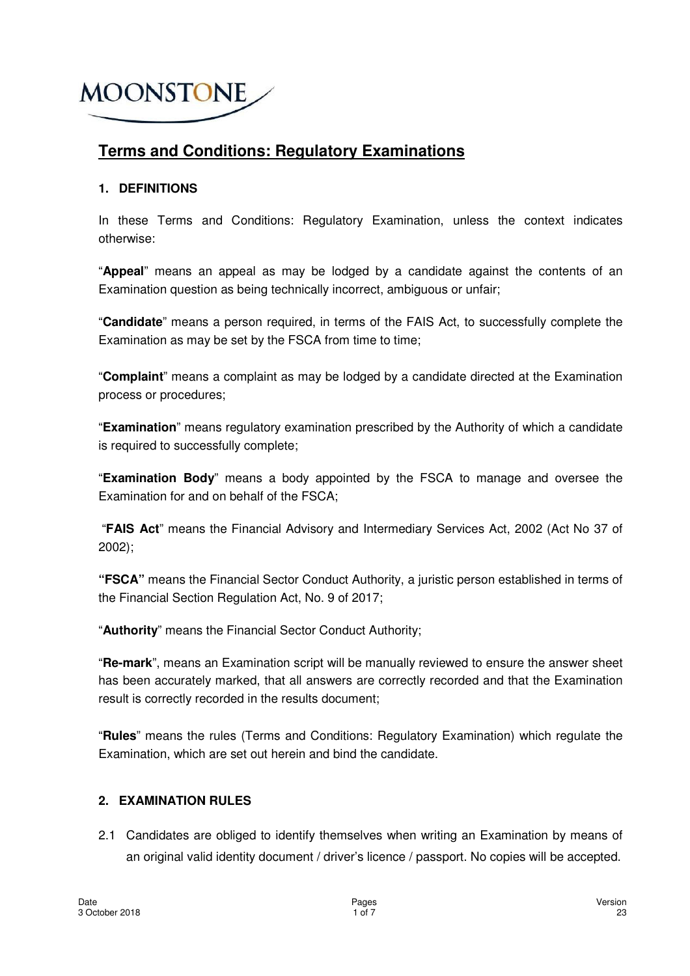## **Terms and Conditions: Regulatory Examinations**

#### **1. DEFINITIONS**

In these Terms and Conditions: Regulatory Examination, unless the context indicates otherwise:

"**Appeal**" means an appeal as may be lodged by a candidate against the contents of an Examination question as being technically incorrect, ambiguous or unfair;

"**Candidate**" means a person required, in terms of the FAIS Act, to successfully complete the Examination as may be set by the FSCA from time to time;

"**Complaint**" means a complaint as may be lodged by a candidate directed at the Examination process or procedures;

"**Examination**" means regulatory examination prescribed by the Authority of which a candidate is required to successfully complete;

"**Examination Body**" means a body appointed by the FSCA to manage and oversee the Examination for and on behalf of the FSCA;

 "**FAIS Act**" means the Financial Advisory and Intermediary Services Act, 2002 (Act No 37 of 2002);

**"FSCA"** means the Financial Sector Conduct Authority, a juristic person established in terms of the Financial Section Regulation Act, No. 9 of 2017;

"**Authority**" means the Financial Sector Conduct Authority;

"**Re-mark**", means an Examination script will be manually reviewed to ensure the answer sheet has been accurately marked, that all answers are correctly recorded and that the Examination result is correctly recorded in the results document;

"**Rules**" means the rules (Terms and Conditions: Regulatory Examination) which regulate the Examination, which are set out herein and bind the candidate.

#### **2. EXAMINATION RULES**

2.1 Candidates are obliged to identify themselves when writing an Examination by means of an original valid identity document / driver's licence / passport. No copies will be accepted.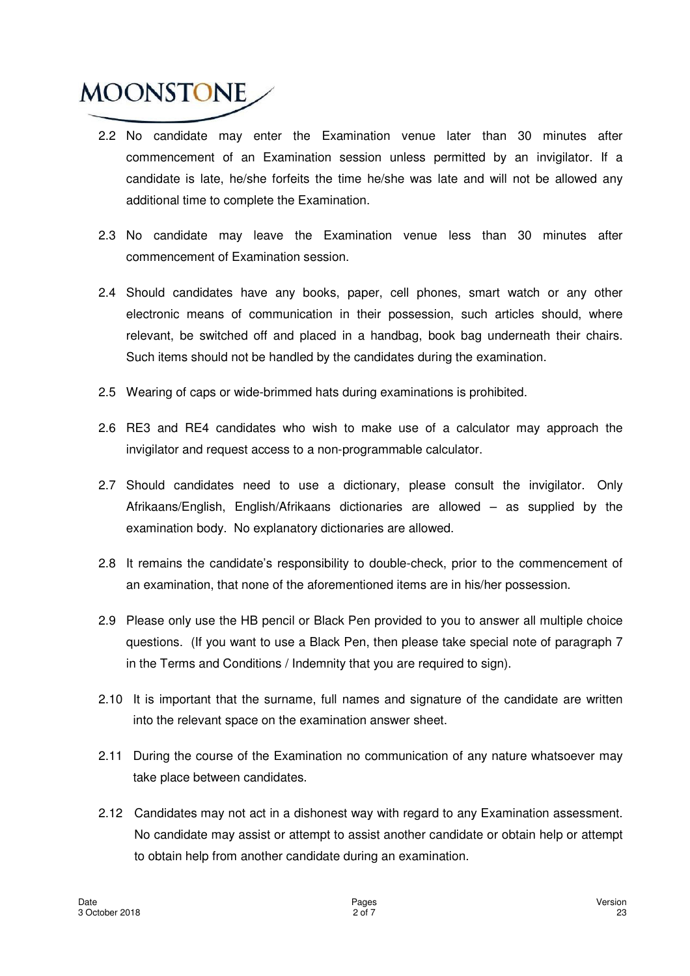- 2.2 No candidate may enter the Examination venue later than 30 minutes after commencement of an Examination session unless permitted by an invigilator. If a candidate is late, he/she forfeits the time he/she was late and will not be allowed any additional time to complete the Examination.
- 2.3 No candidate may leave the Examination venue less than 30 minutes after commencement of Examination session.
- 2.4 Should candidates have any books, paper, cell phones, smart watch or any other electronic means of communication in their possession, such articles should, where relevant, be switched off and placed in a handbag, book bag underneath their chairs. Such items should not be handled by the candidates during the examination.
- 2.5 Wearing of caps or wide-brimmed hats during examinations is prohibited.
- 2.6 RE3 and RE4 candidates who wish to make use of a calculator may approach the invigilator and request access to a non-programmable calculator.
- 2.7 Should candidates need to use a dictionary, please consult the invigilator. Only Afrikaans/English, English/Afrikaans dictionaries are allowed – as supplied by the examination body. No explanatory dictionaries are allowed.
- 2.8 It remains the candidate's responsibility to double-check, prior to the commencement of an examination, that none of the aforementioned items are in his/her possession.
- 2.9 Please only use the HB pencil or Black Pen provided to you to answer all multiple choice questions. (If you want to use a Black Pen, then please take special note of paragraph 7 in the Terms and Conditions / Indemnity that you are required to sign).
- 2.10 It is important that the surname, full names and signature of the candidate are written into the relevant space on the examination answer sheet.
- 2.11 During the course of the Examination no communication of any nature whatsoever may take place between candidates.
- 2.12 Candidates may not act in a dishonest way with regard to any Examination assessment. No candidate may assist or attempt to assist another candidate or obtain help or attempt to obtain help from another candidate during an examination.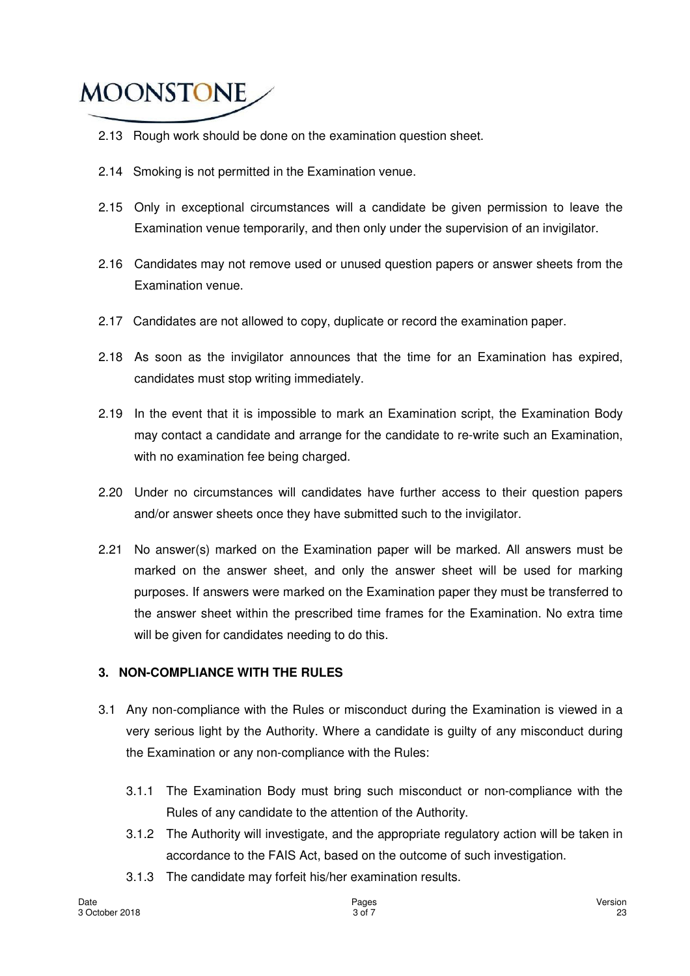- 2.13 Rough work should be done on the examination question sheet.
- 2.14 Smoking is not permitted in the Examination venue.
- 2.15 Only in exceptional circumstances will a candidate be given permission to leave the Examination venue temporarily, and then only under the supervision of an invigilator.
- 2.16 Candidates may not remove used or unused question papers or answer sheets from the Examination venue.
- 2.17 Candidates are not allowed to copy, duplicate or record the examination paper.
- 2.18 As soon as the invigilator announces that the time for an Examination has expired, candidates must stop writing immediately.
- 2.19 In the event that it is impossible to mark an Examination script, the Examination Body may contact a candidate and arrange for the candidate to re-write such an Examination, with no examination fee being charged.
- 2.20 Under no circumstances will candidates have further access to their question papers and/or answer sheets once they have submitted such to the invigilator.
- 2.21 No answer(s) marked on the Examination paper will be marked. All answers must be marked on the answer sheet, and only the answer sheet will be used for marking purposes. If answers were marked on the Examination paper they must be transferred to the answer sheet within the prescribed time frames for the Examination. No extra time will be given for candidates needing to do this.

#### **3. NON-COMPLIANCE WITH THE RULES**

- 3.1 Any non-compliance with the Rules or misconduct during the Examination is viewed in a very serious light by the Authority. Where a candidate is guilty of any misconduct during the Examination or any non-compliance with the Rules:
	- 3.1.1 The Examination Body must bring such misconduct or non-compliance with the Rules of any candidate to the attention of the Authority.
	- 3.1.2 The Authority will investigate, and the appropriate regulatory action will be taken in accordance to the FAIS Act, based on the outcome of such investigation.
	- 3.1.3 The candidate may forfeit his/her examination results.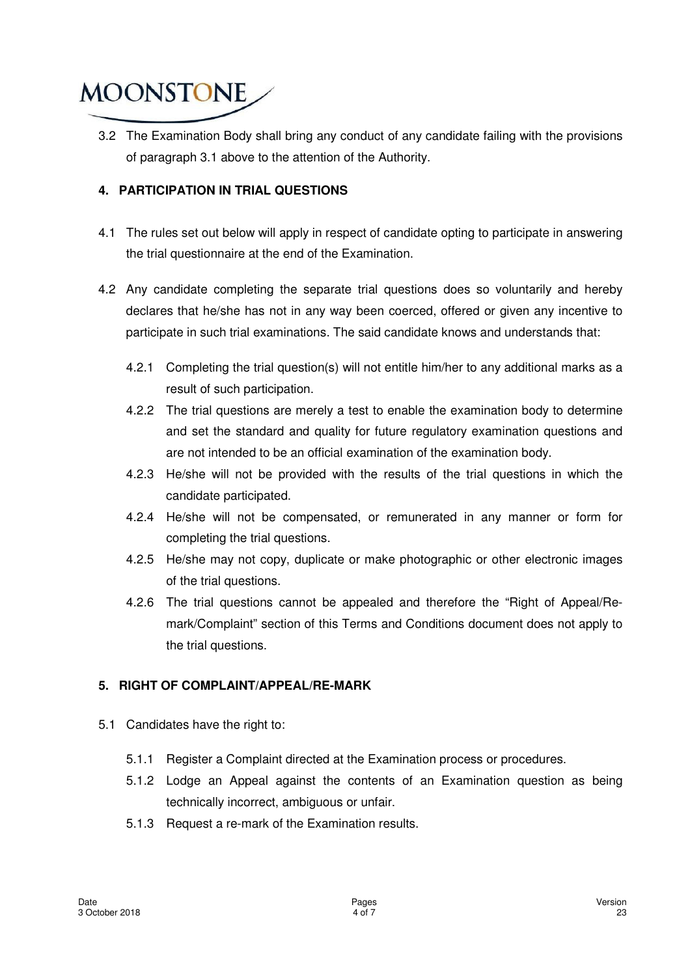3.2 The Examination Body shall bring any conduct of any candidate failing with the provisions of paragraph 3.1 above to the attention of the Authority.

#### **4. PARTICIPATION IN TRIAL QUESTIONS**

- 4.1 The rules set out below will apply in respect of candidate opting to participate in answering the trial questionnaire at the end of the Examination.
- 4.2 Any candidate completing the separate trial questions does so voluntarily and hereby declares that he/she has not in any way been coerced, offered or given any incentive to participate in such trial examinations. The said candidate knows and understands that:
	- 4.2.1 Completing the trial question(s) will not entitle him/her to any additional marks as a result of such participation.
	- 4.2.2 The trial questions are merely a test to enable the examination body to determine and set the standard and quality for future regulatory examination questions and are not intended to be an official examination of the examination body.
	- 4.2.3 He/she will not be provided with the results of the trial questions in which the candidate participated.
	- 4.2.4 He/she will not be compensated, or remunerated in any manner or form for completing the trial questions.
	- 4.2.5 He/she may not copy, duplicate or make photographic or other electronic images of the trial questions.
	- 4.2.6 The trial questions cannot be appealed and therefore the "Right of Appeal/Remark/Complaint" section of this Terms and Conditions document does not apply to the trial questions.

#### **5. RIGHT OF COMPLAINT/APPEAL/RE-MARK**

- 5.1 Candidates have the right to:
	- 5.1.1 Register a Complaint directed at the Examination process or procedures.
	- 5.1.2 Lodge an Appeal against the contents of an Examination question as being technically incorrect, ambiguous or unfair.
	- 5.1.3 Request a re-mark of the Examination results.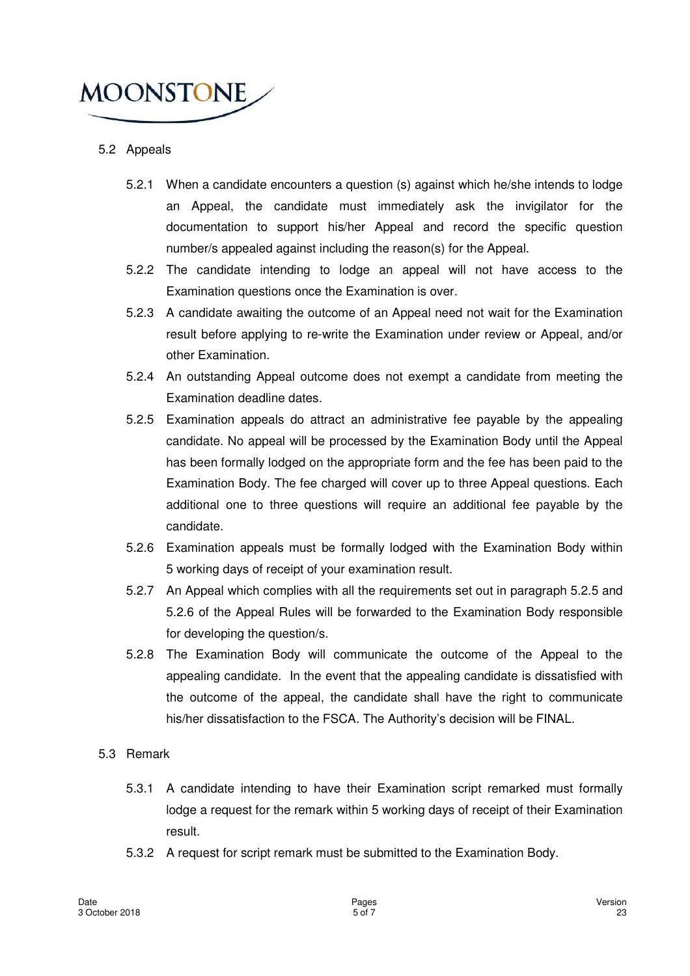

#### 5.2 Appeals

- 5.2.1 When a candidate encounters a question (s) against which he/she intends to lodge an Appeal, the candidate must immediately ask the invigilator for the documentation to support his/her Appeal and record the specific question number/s appealed against including the reason(s) for the Appeal.
- 5.2.2 The candidate intending to lodge an appeal will not have access to the Examination questions once the Examination is over.
- 5.2.3 A candidate awaiting the outcome of an Appeal need not wait for the Examination result before applying to re-write the Examination under review or Appeal, and/or other Examination.
- 5.2.4 An outstanding Appeal outcome does not exempt a candidate from meeting the Examination deadline dates.
- 5.2.5 Examination appeals do attract an administrative fee payable by the appealing candidate. No appeal will be processed by the Examination Body until the Appeal has been formally lodged on the appropriate form and the fee has been paid to the Examination Body. The fee charged will cover up to three Appeal questions. Each additional one to three questions will require an additional fee payable by the candidate.
- 5.2.6 Examination appeals must be formally lodged with the Examination Body within 5 working days of receipt of your examination result.
- 5.2.7 An Appeal which complies with all the requirements set out in paragraph 5.2.5 and 5.2.6 of the Appeal Rules will be forwarded to the Examination Body responsible for developing the question/s.
- 5.2.8 The Examination Body will communicate the outcome of the Appeal to the appealing candidate. In the event that the appealing candidate is dissatisfied with the outcome of the appeal, the candidate shall have the right to communicate his/her dissatisfaction to the FSCA. The Authority's decision will be FINAL.

#### 5.3 Remark

- 5.3.1 A candidate intending to have their Examination script remarked must formally lodge a request for the remark within 5 working days of receipt of their Examination result.
- 5.3.2 A request for script remark must be submitted to the Examination Body.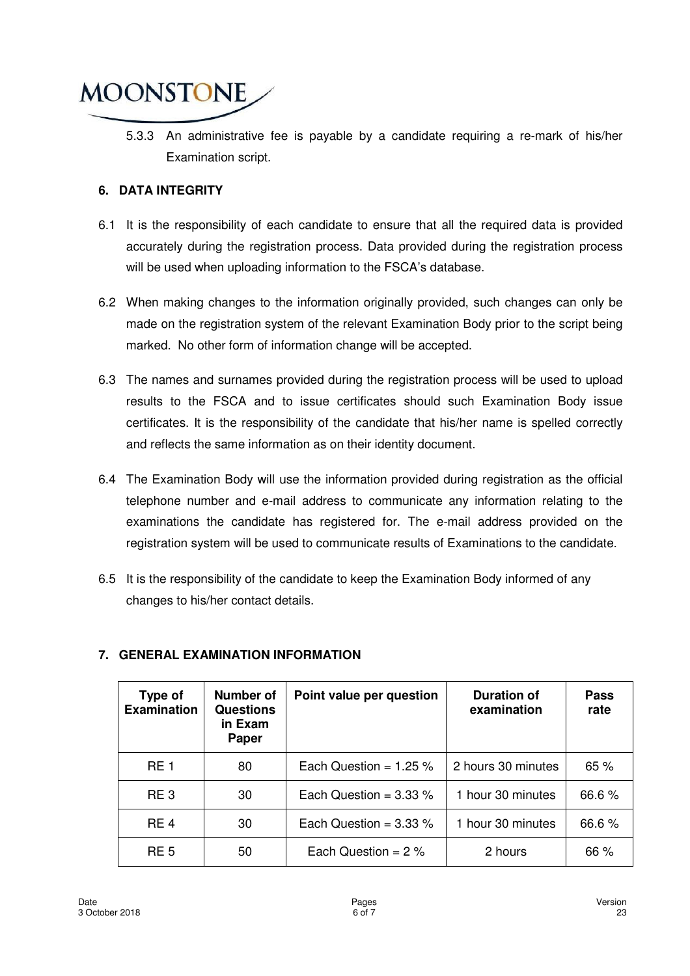

5.3.3 An administrative fee is payable by a candidate requiring a re-mark of his/her Examination script.

#### **6. DATA INTEGRITY**

- 6.1 It is the responsibility of each candidate to ensure that all the required data is provided accurately during the registration process. Data provided during the registration process will be used when uploading information to the FSCA's database.
- 6.2 When making changes to the information originally provided, such changes can only be made on the registration system of the relevant Examination Body prior to the script being marked. No other form of information change will be accepted.
- 6.3 The names and surnames provided during the registration process will be used to upload results to the FSCA and to issue certificates should such Examination Body issue certificates. It is the responsibility of the candidate that his/her name is spelled correctly and reflects the same information as on their identity document.
- 6.4 The Examination Body will use the information provided during registration as the official telephone number and e-mail address to communicate any information relating to the examinations the candidate has registered for. The e-mail address provided on the registration system will be used to communicate results of Examinations to the candidate.
- 6.5 It is the responsibility of the candidate to keep the Examination Body informed of any changes to his/her contact details.

| Type of<br><b>Examination</b> | Number of<br><b>Questions</b><br>in Exam<br>Paper | Point value per question | <b>Duration of</b><br>examination | <b>Pass</b><br>rate |
|-------------------------------|---------------------------------------------------|--------------------------|-----------------------------------|---------------------|
| <b>RE1</b>                    | 80                                                | Each Question = $1.25\%$ | 2 hours 30 minutes                | 65 %                |
| RE <sub>3</sub>               | 30                                                | Each Question = $3.33\%$ | 1 hour 30 minutes                 | 66.6%               |
| RE <sub>4</sub>               | 30                                                | Each Question = $3.33\%$ | 1 hour 30 minutes                 | 66.6%               |
| RE <sub>5</sub>               | 50                                                | Each Question = $2\%$    | 2 hours                           | 66 %                |

#### **7. GENERAL EXAMINATION INFORMATION**